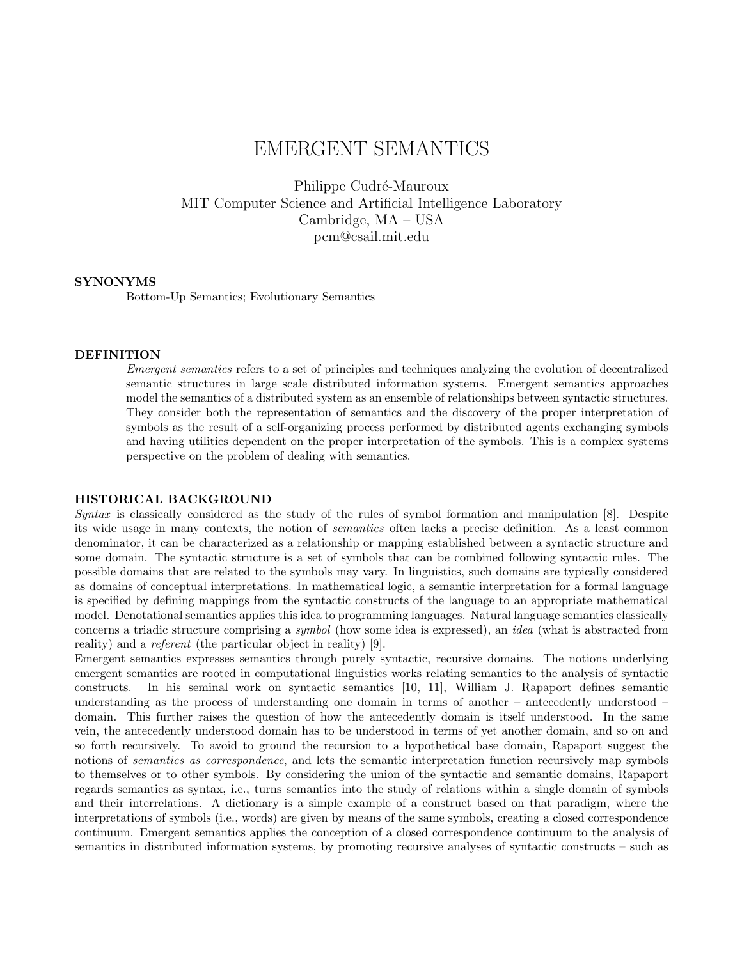# EMERGENT SEMANTICS

Philippe Cudré-Mauroux MIT Computer Science and Artificial Intelligence Laboratory Cambridge, MA – USA pcm@csail.mit.edu

#### SYNONYMS

Bottom-Up Semantics; Evolutionary Semantics

### DEFINITION

Emergent semantics refers to a set of principles and techniques analyzing the evolution of decentralized semantic structures in large scale distributed information systems. Emergent semantics approaches model the semantics of a distributed system as an ensemble of relationships between syntactic structures. They consider both the representation of semantics and the discovery of the proper interpretation of symbols as the result of a self-organizing process performed by distributed agents exchanging symbols and having utilities dependent on the proper interpretation of the symbols. This is a complex systems perspective on the problem of dealing with semantics.

## HISTORICAL BACKGROUND

Syntax is classically considered as the study of the rules of symbol formation and manipulation [8]. Despite its wide usage in many contexts, the notion of semantics often lacks a precise definition. As a least common denominator, it can be characterized as a relationship or mapping established between a syntactic structure and some domain. The syntactic structure is a set of symbols that can be combined following syntactic rules. The possible domains that are related to the symbols may vary. In linguistics, such domains are typically considered as domains of conceptual interpretations. In mathematical logic, a semantic interpretation for a formal language is specified by defining mappings from the syntactic constructs of the language to an appropriate mathematical model. Denotational semantics applies this idea to programming languages. Natural language semantics classically concerns a triadic structure comprising a symbol (how some idea is expressed), an idea (what is abstracted from reality) and a referent (the particular object in reality) [9].

Emergent semantics expresses semantics through purely syntactic, recursive domains. The notions underlying emergent semantics are rooted in computational linguistics works relating semantics to the analysis of syntactic constructs. In his seminal work on syntactic semantics [10, 11], William J. Rapaport defines semantic understanding as the process of understanding one domain in terms of another – antecedently understood – domain. This further raises the question of how the antecedently domain is itself understood. In the same vein, the antecedently understood domain has to be understood in terms of yet another domain, and so on and so forth recursively. To avoid to ground the recursion to a hypothetical base domain, Rapaport suggest the notions of semantics as correspondence, and lets the semantic interpretation function recursively map symbols to themselves or to other symbols. By considering the union of the syntactic and semantic domains, Rapaport regards semantics as syntax, i.e., turns semantics into the study of relations within a single domain of symbols and their interrelations. A dictionary is a simple example of a construct based on that paradigm, where the interpretations of symbols (i.e., words) are given by means of the same symbols, creating a closed correspondence continuum. Emergent semantics applies the conception of a closed correspondence continuum to the analysis of semantics in distributed information systems, by promoting recursive analyses of syntactic constructs – such as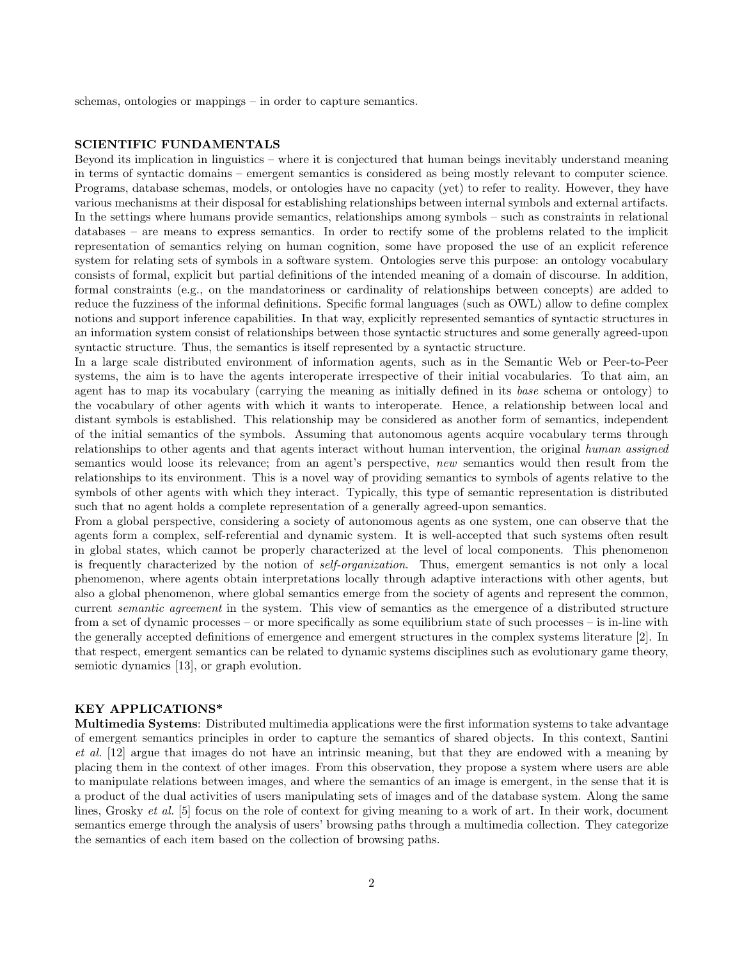schemas, ontologies or mappings – in order to capture semantics.

#### SCIENTIFIC FUNDAMENTALS

Beyond its implication in linguistics – where it is conjectured that human beings inevitably understand meaning in terms of syntactic domains – emergent semantics is considered as being mostly relevant to computer science. Programs, database schemas, models, or ontologies have no capacity (yet) to refer to reality. However, they have various mechanisms at their disposal for establishing relationships between internal symbols and external artifacts. In the settings where humans provide semantics, relationships among symbols – such as constraints in relational databases – are means to express semantics. In order to rectify some of the problems related to the implicit representation of semantics relying on human cognition, some have proposed the use of an explicit reference system for relating sets of symbols in a software system. Ontologies serve this purpose: an ontology vocabulary consists of formal, explicit but partial definitions of the intended meaning of a domain of discourse. In addition, formal constraints (e.g., on the mandatoriness or cardinality of relationships between concepts) are added to reduce the fuzziness of the informal definitions. Specific formal languages (such as OWL) allow to define complex notions and support inference capabilities. In that way, explicitly represented semantics of syntactic structures in an information system consist of relationships between those syntactic structures and some generally agreed-upon syntactic structure. Thus, the semantics is itself represented by a syntactic structure.

In a large scale distributed environment of information agents, such as in the Semantic Web or Peer-to-Peer systems, the aim is to have the agents interoperate irrespective of their initial vocabularies. To that aim, an agent has to map its vocabulary (carrying the meaning as initially defined in its base schema or ontology) to the vocabulary of other agents with which it wants to interoperate. Hence, a relationship between local and distant symbols is established. This relationship may be considered as another form of semantics, independent of the initial semantics of the symbols. Assuming that autonomous agents acquire vocabulary terms through relationships to other agents and that agents interact without human intervention, the original human assigned semantics would loose its relevance; from an agent's perspective, new semantics would then result from the relationships to its environment. This is a novel way of providing semantics to symbols of agents relative to the symbols of other agents with which they interact. Typically, this type of semantic representation is distributed such that no agent holds a complete representation of a generally agreed-upon semantics.

From a global perspective, considering a society of autonomous agents as one system, one can observe that the agents form a complex, self-referential and dynamic system. It is well-accepted that such systems often result in global states, which cannot be properly characterized at the level of local components. This phenomenon is frequently characterized by the notion of self-organization. Thus, emergent semantics is not only a local phenomenon, where agents obtain interpretations locally through adaptive interactions with other agents, but also a global phenomenon, where global semantics emerge from the society of agents and represent the common, current semantic agreement in the system. This view of semantics as the emergence of a distributed structure from a set of dynamic processes – or more specifically as some equilibrium state of such processes – is in-line with the generally accepted definitions of emergence and emergent structures in the complex systems literature [2]. In that respect, emergent semantics can be related to dynamic systems disciplines such as evolutionary game theory, semiotic dynamics [13], or graph evolution.

#### KEY APPLICATIONS\*

Multimedia Systems: Distributed multimedia applications were the first information systems to take advantage of emergent semantics principles in order to capture the semantics of shared objects. In this context, Santini et al. [12] argue that images do not have an intrinsic meaning, but that they are endowed with a meaning by placing them in the context of other images. From this observation, they propose a system where users are able to manipulate relations between images, and where the semantics of an image is emergent, in the sense that it is a product of the dual activities of users manipulating sets of images and of the database system. Along the same lines, Grosky et al. [5] focus on the role of context for giving meaning to a work of art. In their work, document semantics emerge through the analysis of users' browsing paths through a multimedia collection. They categorize the semantics of each item based on the collection of browsing paths.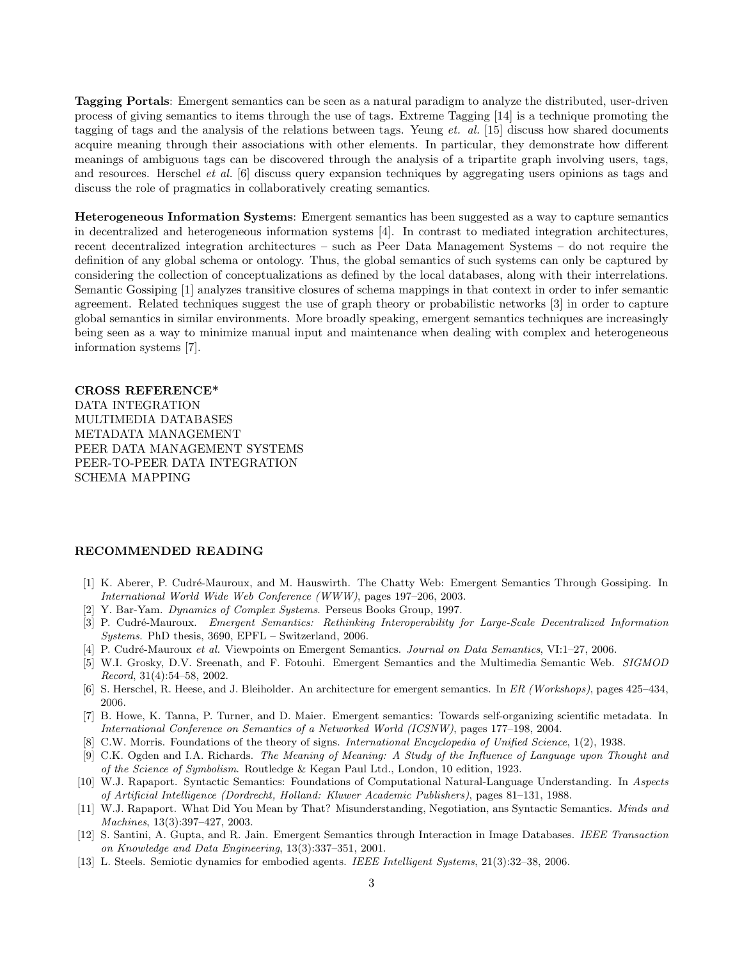Tagging Portals: Emergent semantics can be seen as a natural paradigm to analyze the distributed, user-driven process of giving semantics to items through the use of tags. Extreme Tagging [14] is a technique promoting the tagging of tags and the analysis of the relations between tags. Yeung et. al. [15] discuss how shared documents acquire meaning through their associations with other elements. In particular, they demonstrate how different meanings of ambiguous tags can be discovered through the analysis of a tripartite graph involving users, tags, and resources. Herschel et al. [6] discuss query expansion techniques by aggregating users opinions as tags and discuss the role of pragmatics in collaboratively creating semantics.

Heterogeneous Information Systems: Emergent semantics has been suggested as a way to capture semantics in decentralized and heterogeneous information systems [4]. In contrast to mediated integration architectures, recent decentralized integration architectures – such as Peer Data Management Systems – do not require the definition of any global schema or ontology. Thus, the global semantics of such systems can only be captured by considering the collection of conceptualizations as defined by the local databases, along with their interrelations. Semantic Gossiping [1] analyzes transitive closures of schema mappings in that context in order to infer semantic agreement. Related techniques suggest the use of graph theory or probabilistic networks [3] in order to capture global semantics in similar environments. More broadly speaking, emergent semantics techniques are increasingly being seen as a way to minimize manual input and maintenance when dealing with complex and heterogeneous information systems [7].

#### CROSS REFERENCE\*

DATA INTEGRATION MULTIMEDIA DATABASES METADATA MANAGEMENT PEER DATA MANAGEMENT SYSTEMS PEER-TO-PEER DATA INTEGRATION SCHEMA MAPPING

#### RECOMMENDED READING

- [1] K. Aberer, P. Cudré-Mauroux, and M. Hauswirth. The Chatty Web: Emergent Semantics Through Gossiping. In International World Wide Web Conference (WWW), pages 197–206, 2003.
- [2] Y. Bar-Yam. Dynamics of Complex Systems. Perseus Books Group, 1997.
- [3] P. Cudré-Mauroux. Emergent Semantics: Rethinking Interoperability for Large-Scale Decentralized Information  $Systems. PhD thesis, 3690, EPFL - Switzerland, 2006.$
- [4] P. Cudré-Mauroux et al. Viewpoints on Emergent Semantics. Journal on Data Semantics, VI:1–27, 2006.
- [5] W.I. Grosky, D.V. Sreenath, and F. Fotouhi. Emergent Semantics and the Multimedia Semantic Web. SIGMOD Record, 31(4):54–58, 2002.
- [6] S. Herschel, R. Heese, and J. Bleiholder. An architecture for emergent semantics. In ER (Workshops), pages 425–434, 2006.
- [7] B. Howe, K. Tanna, P. Turner, and D. Maier. Emergent semantics: Towards self-organizing scientific metadata. In International Conference on Semantics of a Networked World (ICSNW), pages 177–198, 2004.
- [8] C.W. Morris. Foundations of the theory of signs. International Encyclopedia of Unified Science, 1(2), 1938.
- [9] C.K. Ogden and I.A. Richards. The Meaning of Meaning: A Study of the Influence of Language upon Thought and of the Science of Symbolism. Routledge & Kegan Paul Ltd., London, 10 edition, 1923.
- [10] W.J. Rapaport. Syntactic Semantics: Foundations of Computational Natural-Language Understanding. In Aspects of Artificial Intelligence (Dordrecht, Holland: Kluwer Academic Publishers), pages 81–131, 1988.
- [11] W.J. Rapaport. What Did You Mean by That? Misunderstanding, Negotiation, ans Syntactic Semantics. Minds and Machines, 13(3):397–427, 2003.
- [12] S. Santini, A. Gupta, and R. Jain. Emergent Semantics through Interaction in Image Databases. IEEE Transaction on Knowledge and Data Engineering, 13(3):337–351, 2001.
- [13] L. Steels. Semiotic dynamics for embodied agents. IEEE Intelligent Systems, 21(3):32–38, 2006.